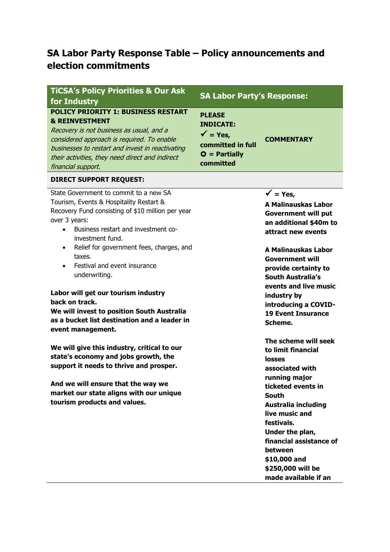# **SA Labor Party Response Table – Policy announcements and election commitments**

| <b>TiCSA's Policy Priorities &amp; Our Ask</b><br>for Industry                                                                                                                                                                                                                                 | <b>SA Labor Party's Response:</b>                                                                            |                                                                                                                                                                                                                        |
|------------------------------------------------------------------------------------------------------------------------------------------------------------------------------------------------------------------------------------------------------------------------------------------------|--------------------------------------------------------------------------------------------------------------|------------------------------------------------------------------------------------------------------------------------------------------------------------------------------------------------------------------------|
| <b>POLICY PRIORITY 1: BUSINESS RESTART</b><br><b>&amp; REINVESTMENT</b><br>Recovery is not business as usual, and a<br>considered approach is required. To enable<br>businesses to restart and invest in reactivating<br>their activities, they need direct and indirect<br>financial support. | <b>PLEASE</b><br><b>INDICATE:</b><br>$\sqrt{\ }$ = Yes,<br>committed in full<br>$O =$ Partially<br>committed | <b>COMMENTARY</b>                                                                                                                                                                                                      |
| <b>DIRECT SUPPORT REQUEST:</b>                                                                                                                                                                                                                                                                 |                                                                                                              |                                                                                                                                                                                                                        |
| State Government to commit to a new SA<br>Tourism, Events & Hospitality Restart &<br>Recovery Fund consisting of \$10 million per year<br>over 3 years:<br>Business restart and investment co-<br>investment fund.                                                                             |                                                                                                              | $\sqrt{ }$ = Yes,<br><b>A Malinauskas Labor</b><br><b>Government will put</b><br>an additional \$40m to<br>attract new events                                                                                          |
| Relief for government fees, charges, and<br>$\bullet$<br>taxes.<br>Festival and event insurance<br>$\bullet$<br>underwriting.                                                                                                                                                                  |                                                                                                              | A Malinauskas Labor<br><b>Government will</b><br>provide certainty to<br><b>South Australia's</b><br>events and live music                                                                                             |
| Labor will get our tourism industry<br>back on track.<br>We will invest to position South Australia<br>as a bucket list destination and a leader in<br>event management.                                                                                                                       |                                                                                                              | industry by<br>introducing a COVID-<br><b>19 Event Insurance</b><br>Scheme.                                                                                                                                            |
| We will give this industry, critical to our<br>state's economy and jobs growth, the<br>support it needs to thrive and prosper.                                                                                                                                                                 |                                                                                                              | The scheme will seek<br>to limit financial<br>losses<br>associated with<br>running major                                                                                                                               |
| And we will ensure that the way we<br>market our state aligns with our unique<br>tourism products and values.                                                                                                                                                                                  |                                                                                                              | ticketed events in<br><b>South</b><br><b>Australia including</b><br>live music and<br>festivals.<br>Under the plan,<br>financial assistance of<br>between<br>\$10,000 and<br>\$250,000 will be<br>made available if an |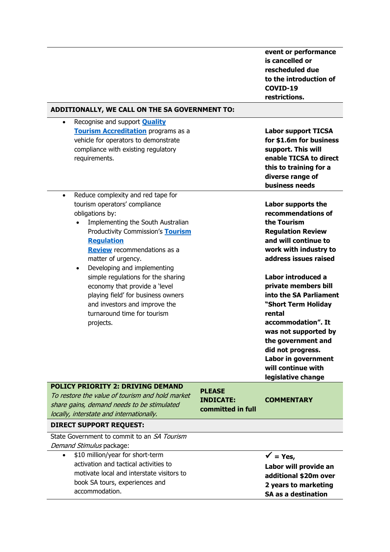|                                                                                                                                                                                                                                                                                                            |                                                        | event or performance<br>is cancelled or<br>rescheduled due<br>to the introduction of<br>COVID-19<br>restrictions.                                                                                                                                                 |
|------------------------------------------------------------------------------------------------------------------------------------------------------------------------------------------------------------------------------------------------------------------------------------------------------------|--------------------------------------------------------|-------------------------------------------------------------------------------------------------------------------------------------------------------------------------------------------------------------------------------------------------------------------|
| ADDITIONALLY, WE CALL ON THE SA GOVERNMENT TO:                                                                                                                                                                                                                                                             |                                                        |                                                                                                                                                                                                                                                                   |
| Recognise and support <b>Quality</b><br>$\bullet$<br><b>Tourism Accreditation</b> programs as a<br>vehicle for operators to demonstrate<br>compliance with existing regulatory<br>requirements.                                                                                                            |                                                        | <b>Labor support TICSA</b><br>for \$1.6m for business<br>support. This will<br>enable TICSA to direct<br>this to training for a<br>diverse range of<br>business needs                                                                                             |
| Reduce complexity and red tape for<br>$\bullet$<br>tourism operators' compliance<br>obligations by:<br>Implementing the South Australian<br>Productivity Commission's Tourism<br><b>Regulation</b><br><b>Review</b> recommendations as a<br>matter of urgency.<br>Developing and implementing<br>$\bullet$ |                                                        | Labor supports the<br>recommendations of<br>the Tourism<br><b>Regulation Review</b><br>and will continue to<br>work with industry to<br>address issues raised                                                                                                     |
| simple regulations for the sharing<br>economy that provide a 'level<br>playing field' for business owners<br>and investors and improve the<br>turnaround time for tourism<br>projects.                                                                                                                     |                                                        | Labor introduced a<br>private members bill<br>into the SA Parliament<br>"Short Term Holiday<br>rental<br>accommodation". It<br>was not supported by<br>the government and<br>did not progress.<br>Labor in government<br>will continue with<br>legislative change |
| <b>POLICY PRIORITY 2: DRIVING DEMAND</b><br>To restore the value of tourism and hold market<br>share gains, demand needs to be stimulated<br>locally, interstate and internationally.                                                                                                                      | <b>PLEASE</b><br><b>INDICATE:</b><br>committed in full | <b>COMMENTARY</b>                                                                                                                                                                                                                                                 |

### **DIRECT SUPPORT REQUEST:**

State Government to commit to an SA Tourism Demand Stimulus package:

• \$10 million/year for short-term activation and tactical activities to motivate local and interstate visitors to book SA tours, experiences and accommodation.

 $\sqrt{ }$  = Yes,

**Labor will provide an additional \$20m over 2 years to marketing SA as a destination**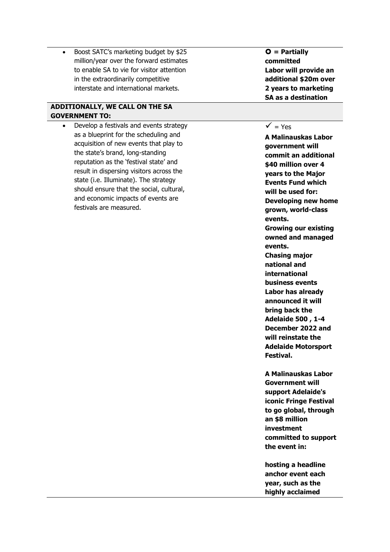• Boost SATC's marketing budget by \$25 million/year over the forward estimates to enable SA to vie for visitor attention in the extraordinarily competitive interstate and international markets.

# **ADDITIONALLY, WE CALL ON THE SA GOVERNMENT TO:**

• Develop a festivals and events strategy as a blueprint for the scheduling and acquisition of new events that play to the state's brand, long-standing reputation as the 'festival state' and result in dispersing visitors across the state (i.e. Illuminate). The strategy should ensure that the social, cultural, and economic impacts of events are festivals are measured.

 **= Partially committed Labor will provide an additional \$20m over 2 years to marketing SA as a destination**

### $\sqrt{ }$  = Yes

**A Malinauskas Labor government will commit an additional \$40 million over 4 years to the Major Events Fund which will be used for: Developing new home grown, world-class events. Growing our existing owned and managed events. Chasing major national and international business events Labor has already announced it will bring back the Adelaide 500 , 1-4 December 2022 and will reinstate the Adelaide Motorsport Festival.**

**A Malinauskas Labor Government will support Adelaide's iconic Fringe Festival to go global, through an \$8 million investment committed to support the event in:**

**hosting a headline anchor event each year, such as the highly acclaimed**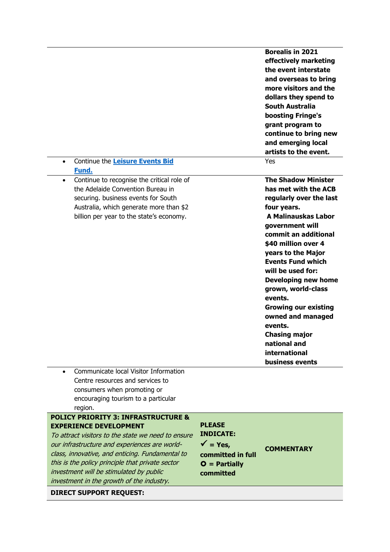| Continue the Leisure Events Bid<br>$\bullet$                                                                                                                                                                                                                                                                                                                                                                            |                                                                                                             | <b>Borealis in 2021</b><br>effectively marketing<br>the event interstate<br>and overseas to bring<br>more visitors and the<br>dollars they spend to<br>South Australia<br>boosting Fringe's<br>grant program to<br>continue to bring new<br>and emerging local<br>artists to the event.<br>Yes                                                                                                                                                                                |
|-------------------------------------------------------------------------------------------------------------------------------------------------------------------------------------------------------------------------------------------------------------------------------------------------------------------------------------------------------------------------------------------------------------------------|-------------------------------------------------------------------------------------------------------------|-------------------------------------------------------------------------------------------------------------------------------------------------------------------------------------------------------------------------------------------------------------------------------------------------------------------------------------------------------------------------------------------------------------------------------------------------------------------------------|
| Fund.<br>Continue to recognise the critical role of<br>$\bullet$<br>the Adelaide Convention Bureau in<br>securing. business events for South<br>Australia, which generate more than \$2<br>billion per year to the state's economy.                                                                                                                                                                                     |                                                                                                             | <b>The Shadow Minister</b><br>has met with the ACB<br>regularly over the last<br>four years.<br><b>A Malinauskas Labor</b><br>government will<br>commit an additional<br>\$40 million over 4<br>years to the Major<br><b>Events Fund which</b><br>will be used for:<br><b>Developing new home</b><br>grown, world-class<br>events.<br><b>Growing our existing</b><br>owned and managed<br>events.<br><b>Chasing major</b><br>national and<br>international<br>business events |
| Communicate local Visitor Information<br>$\bullet$<br>Centre resources and services to<br>consumers when promoting or<br>encouraging tourism to a particular<br>region.                                                                                                                                                                                                                                                 |                                                                                                             |                                                                                                                                                                                                                                                                                                                                                                                                                                                                               |
| <b>POLICY PRIORITY 3: INFRASTRUCTURE &amp;</b><br><b>EXPERIENCE DEVELOPMENT</b><br>To attract visitors to the state we need to ensure<br>our infrastructure and experiences are world-<br>class, innovative, and enticing. Fundamental to<br>this is the policy principle that private sector<br>investment will be stimulated by public<br>investment in the growth of the industry.<br><b>DIRECT SUPPORT REQUEST:</b> | <b>PLEASE</b><br><b>INDICATE:</b><br>$\sqrt{ }$ = Yes,<br>committed in full<br>$O =$ Partially<br>committed | <b>COMMENTARY</b>                                                                                                                                                                                                                                                                                                                                                                                                                                                             |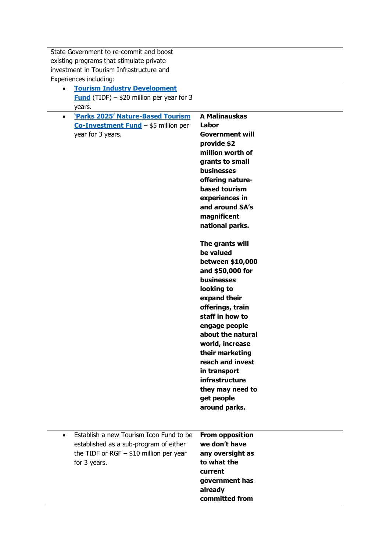State Government to re-commit and boost existing programs that stimulate private investment in Tourism Infrastructure and Experiences including:

- **[Tourism Industry Development](https://tourism.sa.gov.au/support/tourism-industry-development-fund)  [Fund](https://tourism.sa.gov.au/support/tourism-industry-development-fund)** (TIDF) – \$20 million per year for 3 years.
- **['Parks 2025' Nature](https://ticsa.com.au/wp-content/uploads/2021/03/Nature-based-Tourism-Co-investment-Fund-webinar-slides.pdf)-Based Tourism [Co-Investment Fund](https://ticsa.com.au/wp-content/uploads/2021/03/Nature-based-Tourism-Co-investment-Fund-webinar-slides.pdf)** – \$5 million per year for 3 years.

**A Malinauskas Labor Government will provide \$2 million worth of grants to small businesses offering naturebased tourism experiences in and around SA's magnificent national parks. The grants will be valued between \$10,000 and \$50,000 for businesses looking to expand their offerings, train staff in how to engage people about the natural world, increase their marketing reach and invest in transport** 

• Establish a new Tourism Icon Fund to be established as a sub-program of either the TIDF or RGF  $-$  \$10 million per year for 3 years. **From opposition** 

**we don't have any oversight as to what the current government has already committed from** 

**infrastructure they may need to** 

**get people around parks.**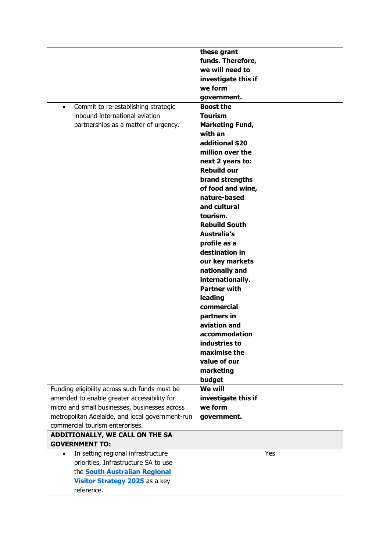|                                                  | these grant                             |
|--------------------------------------------------|-----------------------------------------|
|                                                  | funds. Therefore,                       |
|                                                  | we will need to                         |
|                                                  | investigate this if                     |
|                                                  | we form                                 |
|                                                  | government.                             |
| Commit to re-establishing strategic<br>$\bullet$ | <b>Boost the</b>                        |
| inbound international aviation                   | <b>Tourism</b>                          |
| partnerships as a matter of urgency.             | <b>Marketing Fund,</b>                  |
|                                                  | with an                                 |
|                                                  | additional \$20                         |
|                                                  | million over the                        |
|                                                  | next 2 years to:                        |
|                                                  | <b>Rebuild our</b>                      |
|                                                  | brand strengths                         |
|                                                  | of food and wine,                       |
|                                                  | nature-based                            |
|                                                  | and cultural                            |
|                                                  | tourism.                                |
|                                                  | <b>Rebuild South</b>                    |
|                                                  | Australia's                             |
|                                                  | profile as a                            |
|                                                  | destination in                          |
|                                                  | our key markets                         |
|                                                  | nationally and                          |
|                                                  | internationally.<br><b>Partner with</b> |
|                                                  | leading                                 |
|                                                  | commercial                              |
|                                                  | partners in                             |
|                                                  | aviation and                            |
|                                                  | accommodation                           |
|                                                  | industries to                           |
|                                                  | maximise the                            |
|                                                  | value of our                            |
|                                                  | marketing                               |
|                                                  | budget                                  |
| Funding eligibility across such funds must be    | <b>We will</b>                          |
| amended to enable greater accessibility for      | investigate this if                     |
| micro and small businesses, businesses across    | we form                                 |
| metropolitan Adelaide, and local government-run  | government.                             |
| commercial tourism enterprises.                  |                                         |
| ADDITIONALLY, WE CALL ON THE SA                  |                                         |
| <b>GOVERNMENT TO:</b>                            |                                         |
| In setting regional infrastructure<br>$\bullet$  | Yes                                     |
| priorities, Infrastructure SA to use             |                                         |
| the <b>South Australian Regional</b>             |                                         |
| Visitor Strategy 2025 as a key                   |                                         |
| reference.                                       |                                         |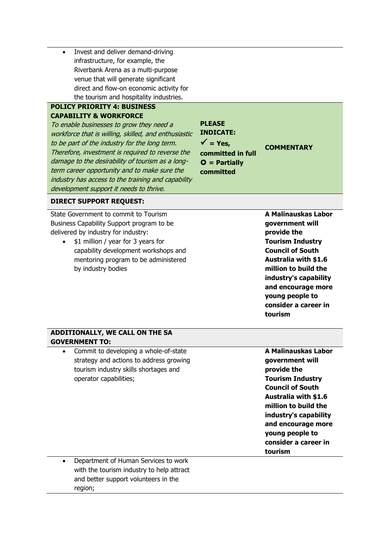• Invest and deliver demand-driving infrastructure, for example, the Riverbank Arena as a multi-purpose venue that will generate significant direct and flow-on economic activity for the tourism and hospitality industries.

## **POLICY PRIORITY 4: BUSINESS CAPABILITY & WORKFORCE**

To enable businesses to grow they need a workforce that is willing, skilled, and enthusiastic to be part of the industry for the long term. Therefore, investment is required to reverse the damage to the desirability of tourism as a longterm career opportunity and to make sure the industry has access to the training and capability development support it needs to thrive.

**PLEASE INDICATE:**  $\checkmark$  = Yes. **committed in full O** = Partially **committed**

# **COMMENTARY**

#### **DIRECT SUPPORT REQUEST:**

State Government to commit to Tourism Business Capability Support program to be delivered by industry for industry:

> • \$1 million / year for 3 years for capability development workshops and mentoring program to be administered by industry bodies

**A Malinauskas Labor government will provide the Tourism Industry Council of South Australia with \$1.6 million to build the industry's capability and encourage more young people to consider a career in tourism**

#### **ADDITIONALLY, WE CALL ON THE SA GOVERNMENT TO:**

• Commit to developing a whole-of-state strategy and actions to address growing tourism industry skills shortages and operator capabilities;

**A Malinauskas Labor government will provide the Tourism Industry Council of South Australia with \$1.6 million to build the industry's capability and encourage more young people to consider a career in tourism**

• Department of Human Services to work with the tourism industry to help attract and better support volunteers in the region;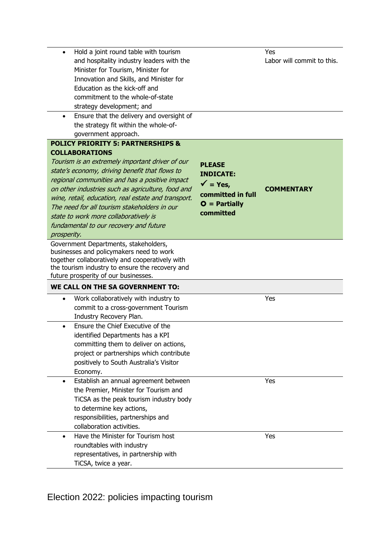| Hold a joint round table with tourism<br>$\bullet$                                                                                                                                                                                                                                                                                                                                                                |                                                                                                                       | Yes                        |
|-------------------------------------------------------------------------------------------------------------------------------------------------------------------------------------------------------------------------------------------------------------------------------------------------------------------------------------------------------------------------------------------------------------------|-----------------------------------------------------------------------------------------------------------------------|----------------------------|
| and hospitality industry leaders with the                                                                                                                                                                                                                                                                                                                                                                         |                                                                                                                       | Labor will commit to this. |
| Minister for Tourism, Minister for                                                                                                                                                                                                                                                                                                                                                                                |                                                                                                                       |                            |
| Innovation and Skills, and Minister for                                                                                                                                                                                                                                                                                                                                                                           |                                                                                                                       |                            |
| Education as the kick-off and                                                                                                                                                                                                                                                                                                                                                                                     |                                                                                                                       |                            |
| commitment to the whole-of-state                                                                                                                                                                                                                                                                                                                                                                                  |                                                                                                                       |                            |
| strategy development; and                                                                                                                                                                                                                                                                                                                                                                                         |                                                                                                                       |                            |
| Ensure that the delivery and oversight of<br>$\bullet$                                                                                                                                                                                                                                                                                                                                                            |                                                                                                                       |                            |
| the strategy fit within the whole-of-                                                                                                                                                                                                                                                                                                                                                                             |                                                                                                                       |                            |
| government approach.                                                                                                                                                                                                                                                                                                                                                                                              |                                                                                                                       |                            |
| <b>POLICY PRIORITY 5: PARTNERSHIPS &amp;</b>                                                                                                                                                                                                                                                                                                                                                                      |                                                                                                                       |                            |
| <b>COLLABORATIONS</b>                                                                                                                                                                                                                                                                                                                                                                                             |                                                                                                                       |                            |
| Tourism is an extremely important driver of our<br>state's economy, driving benefit that flows to<br>regional communities and has a positive impact<br>on other industries such as agriculture, food and<br>wine, retail, education, real estate and transport.<br>The need for all tourism stakeholders in our<br>state to work more collaboratively is<br>fundamental to our recovery and future<br>prosperity. | <b>PLEASE</b><br><b>INDICATE:</b><br>$\sqrt{\phantom{a}}$ = Yes,<br>committed in full<br>$O =$ Partially<br>committed | <b>COMMENTARY</b>          |
| Government Departments, stakeholders,                                                                                                                                                                                                                                                                                                                                                                             |                                                                                                                       |                            |
| businesses and policymakers need to work<br>together collaboratively and cooperatively with<br>the tourism industry to ensure the recovery and<br>future prosperity of our businesses.                                                                                                                                                                                                                            |                                                                                                                       |                            |
| WE CALL ON THE SA GOVERNMENT TO:                                                                                                                                                                                                                                                                                                                                                                                  |                                                                                                                       |                            |
| Work collaboratively with industry to<br>$\bullet$                                                                                                                                                                                                                                                                                                                                                                |                                                                                                                       | Yes                        |
| commit to a cross-government Tourism                                                                                                                                                                                                                                                                                                                                                                              |                                                                                                                       |                            |
| Industry Recovery Plan.                                                                                                                                                                                                                                                                                                                                                                                           |                                                                                                                       |                            |
| Ensure the Chief Executive of the                                                                                                                                                                                                                                                                                                                                                                                 |                                                                                                                       |                            |
| identified Departments has a KPI                                                                                                                                                                                                                                                                                                                                                                                  |                                                                                                                       |                            |
| committing them to deliver on actions,                                                                                                                                                                                                                                                                                                                                                                            |                                                                                                                       |                            |
| project or partnerships which contribute                                                                                                                                                                                                                                                                                                                                                                          |                                                                                                                       |                            |
| positively to South Australia's Visitor                                                                                                                                                                                                                                                                                                                                                                           |                                                                                                                       |                            |
| Economy.                                                                                                                                                                                                                                                                                                                                                                                                          |                                                                                                                       |                            |
| Establish an annual agreement between                                                                                                                                                                                                                                                                                                                                                                             |                                                                                                                       | Yes                        |
| the Premier, Minister for Tourism and                                                                                                                                                                                                                                                                                                                                                                             |                                                                                                                       |                            |
| TiCSA as the peak tourism industry body                                                                                                                                                                                                                                                                                                                                                                           |                                                                                                                       |                            |
| to determine key actions,                                                                                                                                                                                                                                                                                                                                                                                         |                                                                                                                       |                            |
| responsibilities, partnerships and                                                                                                                                                                                                                                                                                                                                                                                |                                                                                                                       |                            |
| collaboration activities.                                                                                                                                                                                                                                                                                                                                                                                         |                                                                                                                       |                            |
| Have the Minister for Tourism host                                                                                                                                                                                                                                                                                                                                                                                |                                                                                                                       | Yes                        |
| roundtables with industry                                                                                                                                                                                                                                                                                                                                                                                         |                                                                                                                       |                            |
| representatives, in partnership with                                                                                                                                                                                                                                                                                                                                                                              |                                                                                                                       |                            |
| TiCSA, twice a year.                                                                                                                                                                                                                                                                                                                                                                                              |                                                                                                                       |                            |